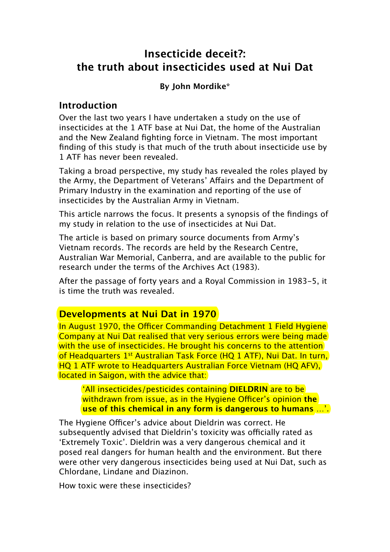# **Insecticide deceit?: the truth about insecticides used at Nui Dat**

#### **By John Mordike\***

#### **Introduction**

Over the last two years I have undertaken a study on the use of insecticides at the 1 ATF base at Nui Dat, the home of the Australian and the New Zealand fighting force in Vietnam. The most important finding of this study is that much of the truth about insecticide use by 1 ATF has never been revealed.

Taking a broad perspective, my study has revealed the roles played by the Army, the Department of Veterans' Afairs and the Department of Primary Industry in the examination and reporting of the use of insecticides by the Australian Army in Vietnam.

This article narrows the focus. It presents a synopsis of the findings of my study in relation to the use of insecticides at Nui Dat.

The article is based on primary source documents from Army's Vietnam records. The records are held by the Research Centre, Australian War Memorial, Canberra, and are available to the public for research under the terms of the Archives Act (1983).

After the passage of forty years and a Royal Commission in 1983-5, it is time the truth was revealed.

### **Developments at Nui Dat in 1970**

In August 1970, the Officer Commanding Detachment 1 Field Hygiene Company at Nui Dat realised that very serious errors were being made with the use of insecticides. He brought his concerns to the attention of Headquarters 1st Australian Task Force (HQ 1 ATF), Nui Dat. In turn, HQ 1 ATF wrote to Headquarters Australian Force Vietnam (HQ AFV), located in Saigon, with the advice that:

'All insecticides/pesticides containing **DIELDRIN** are to be withdrawn from issue, as in the Hygiene Officer's opinion the **use of this chemical in any form is dangerous to humans** …'.

The Hygiene Officer's advice about Dieldrin was correct. He subsequently advised that Dieldrin's toxicity was officially rated as 'Extremely Toxic'. Dieldrin was a very dangerous chemical and it posed real dangers for human health and the environment. But there were other very dangerous insecticides being used at Nui Dat, such as Chlordane, Lindane and Diazinon.

How toxic were these insecticides?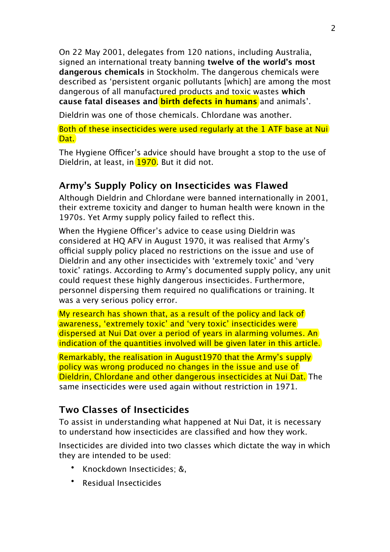On 22 May 2001, delegates from 120 nations, including Australia, signed an international treaty banning **twelve of the world's most dangerous chemicals** in Stockholm. The dangerous chemicals were described as 'persistent organic pollutants [which] are among the most dangerous of all manufactured products and toxic wastes **which cause fatal diseases and birth defects in humans** and animals'.

Dieldrin was one of those chemicals. Chlordane was another.

Both of these insecticides were used regularly at the 1 ATF base at Nui Dat.

The Hygiene Officer's advice should have brought a stop to the use of Dieldrin, at least, in 1970. But it did not.

## **Army's Supply Policy on Insecticides was Flawed**

Although Dieldrin and Chlordane were banned internationally in 2001, their extreme toxicity and danger to human health were known in the 1970s. Yet Army supply policy failed to reflect this.

When the Hygiene Officer's advice to cease using Dieldrin was considered at HQ AFV in August 1970, it was realised that Army's official supply policy placed no restrictions on the issue and use of Dieldrin and any other insecticides with 'extremely toxic' and 'very toxic' ratings. According to Army's documented supply policy, any unit could request these highly dangerous insecticides. Furthermore, personnel dispersing them required no qualifications or training. It was a very serious policy error.

My research has shown that, as a result of the policy and lack of awareness, 'extremely toxic' and 'very toxic' insecticides were dispersed at Nui Dat over a period of years in alarming volumes. An indication of the quantities involved will be given later in this article.

Remarkably, the realisation in August1970 that the Army's supply policy was wrong produced no changes in the issue and use of Dieldrin, Chlordane and other dangerous insecticides at Nui Dat. The same insecticides were used again without restriction in 1971.

## **Two Classes of Insecticides**

To assist in understanding what happened at Nui Dat, it is necessary to understand how insecticides are classified and how they work.

Insecticides are divided into two classes which dictate the way in which they are intended to be used:

- Knockdown Insecticides; &,
- Residual Insecticides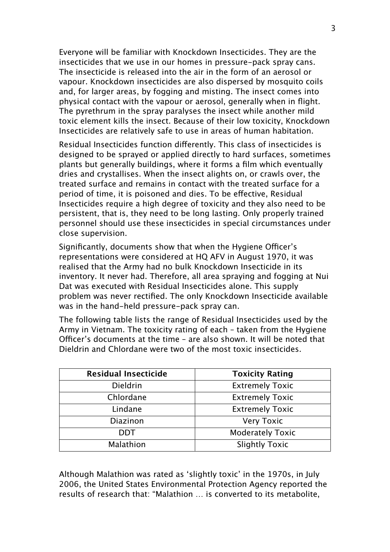Everyone will be familiar with Knockdown Insecticides. They are the insecticides that we use in our homes in pressure-pack spray cans. The insecticide is released into the air in the form of an aerosol or vapour. Knockdown insecticides are also dispersed by mosquito coils and, for larger areas, by fogging and misting. The insect comes into physical contact with the vapour or aerosol, generally when in flight. The pyrethrum in the spray paralyses the insect while another mild toxic element kills the insect. Because of their low toxicity, Knockdown Insecticides are relatively safe to use in areas of human habitation.

Residual Insecticides function diferently. This class of insecticides is designed to be sprayed or applied directly to hard surfaces, sometimes plants but generally buildings, where it forms a film which eventually dries and crystallises. When the insect alights on, or crawls over, the treated surface and remains in contact with the treated surface for a period of time, it is poisoned and dies. To be efective, Residual Insecticides require a high degree of toxicity and they also need to be persistent, that is, they need to be long lasting. Only properly trained personnel should use these insecticides in special circumstances under close supervision.

Significantly, documents show that when the Hygiene Officer's representations were considered at HQ AFV in August 1970, it was realised that the Army had no bulk Knockdown Insecticide in its inventory. It never had. Therefore, all area spraying and fogging at Nui Dat was executed with Residual Insecticides alone. This supply problem was never rectified. The only Knockdown Insecticide available was in the hand-held pressure-pack spray can.

The following table lists the range of Residual Insecticides used by the Army in Vietnam. The toxicity rating of each – taken from the Hygiene Officer's documents at the time - are also shown. It will be noted that Dieldrin and Chlordane were two of the most toxic insecticides.

| <b>Residual Insecticide</b> | <b>Toxicity Rating</b>  |  |
|-----------------------------|-------------------------|--|
| Dieldrin                    | <b>Extremely Toxic</b>  |  |
| Chlordane                   | <b>Extremely Toxic</b>  |  |
| Lindane                     | <b>Extremely Toxic</b>  |  |
| <b>Diazinon</b>             | <b>Very Toxic</b>       |  |
| DDT                         | <b>Moderately Toxic</b> |  |
| Malathion                   | <b>Slightly Toxic</b>   |  |

Although Malathion was rated as 'slightly toxic' in the 1970s, in July 2006, the United States Environmental Protection Agency reported the results of research that: "Malathion … is converted to its metabolite,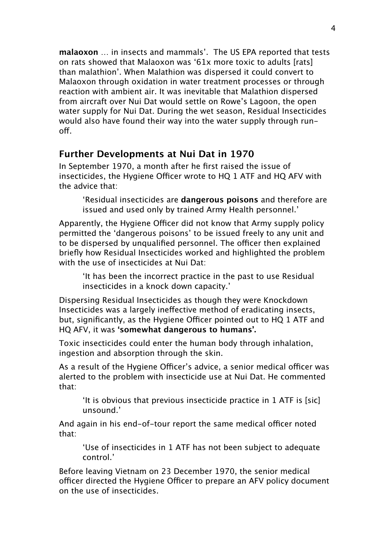**malaoxon** … in insects and mammals'. The US EPA reported that tests on rats showed that Malaoxon was '61x more toxic to adults [rats] than malathion'. When Malathion was dispersed it could convert to Malaoxon through oxidation in water treatment processes or through reaction with ambient air. It was inevitable that Malathion dispersed from aircraft over Nui Dat would settle on Rowe's Lagoon, the open water supply for Nui Dat. During the wet season, Residual Insecticides would also have found their way into the water supply through runof.

#### **Further Developments at Nui Dat in 1970**

In September 1970, a month after he first raised the issue of insecticides, the Hygiene Officer wrote to HQ 1 ATF and HQ AFV with the advice that:

'Residual insecticides are **dangerous poisons** and therefore are issued and used only by trained Army Health personnel.'

Apparently, the Hygiene Officer did not know that Army supply policy permitted the 'dangerous poisons' to be issued freely to any unit and to be dispersed by unqualified personnel. The officer then explained briefly how Residual Insecticides worked and highlighted the problem with the use of insecticides at Nui Dat:

'It has been the incorrect practice in the past to use Residual insecticides in a knock down capacity.'

Dispersing Residual Insecticides as though they were Knockdown Insecticides was a largely inefective method of eradicating insects, but, significantly, as the Hygiene Officer pointed out to HQ 1 ATF and HQ AFV, it was **'somewhat dangerous to humans'.**

Toxic insecticides could enter the human body through inhalation, ingestion and absorption through the skin.

As a result of the Hygiene Officer's advice, a senior medical officer was alerted to the problem with insecticide use at Nui Dat. He commented that:

'It is obvious that previous insecticide practice in 1 ATF is [sic] unsound.'

And again in his end-of-tour report the same medical officer noted that:

'Use of insecticides in 1 ATF has not been subject to adequate control.'

Before leaving Vietnam on 23 December 1970, the senior medical officer directed the Hygiene Officer to prepare an AFV policy document on the use of insecticides.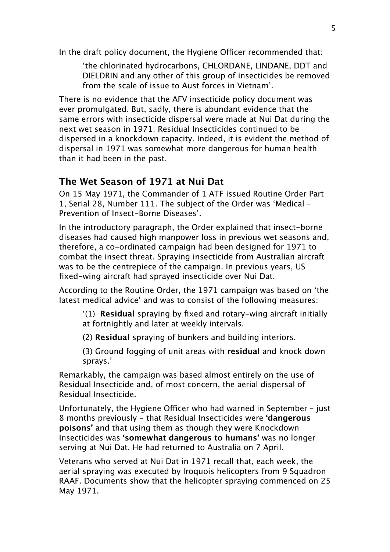In the draft policy document, the Hygiene Officer recommended that:

'the chlorinated hydrocarbons, CHLORDANE, LINDANE, DDT and DIELDRIN and any other of this group of insecticides be removed from the scale of issue to Aust forces in Vietnam'.

There is no evidence that the AFV insecticide policy document was ever promulgated. But, sadly, there is abundant evidence that the same errors with insecticide dispersal were made at Nui Dat during the next wet season in 1971; Residual Insecticides continued to be dispersed in a knockdown capacity. Indeed, it is evident the method of dispersal in 1971 was somewhat more dangerous for human health than it had been in the past.

## **The Wet Season of 1971 at Nui Dat**

On 15 May 1971, the Commander of 1 ATF issued Routine Order Part 1, Serial 28, Number 111. The subject of the Order was 'Medical – Prevention of Insect-Borne Diseases'.

In the introductory paragraph, the Order explained that insect-borne diseases had caused high manpower loss in previous wet seasons and, therefore, a co-ordinated campaign had been designed for 1971 to combat the insect threat. Spraying insecticide from Australian aircraft was to be the centrepiece of the campaign. In previous years, US fixed-wing aircraft had sprayed insecticide over Nui Dat.

According to the Routine Order, the 1971 campaign was based on 'the latest medical advice' and was to consist of the following measures:

'(1) **Residual** spraying by fixed and rotary-wing aircraft initially at fortnightly and later at weekly intervals.

(2) **Residual** spraying of bunkers and building interiors.

(3) Ground fogging of unit areas with **residual** and knock down sprays.'

Remarkably, the campaign was based almost entirely on the use of Residual Insecticide and, of most concern, the aerial dispersal of Residual Insecticide.

Unfortunately, the Hygiene Officer who had warned in September - just 8 months previously - that Residual Insecticides were **'dangerous poisons'** and that using them as though they were Knockdown Insecticides was **'somewhat dangerous to humans'** was no longer serving at Nui Dat. He had returned to Australia on 7 April.

Veterans who served at Nui Dat in 1971 recall that, each week, the aerial spraying was executed by Iroquois helicopters from 9 Squadron RAAF. Documents show that the helicopter spraying commenced on 25 May 1971.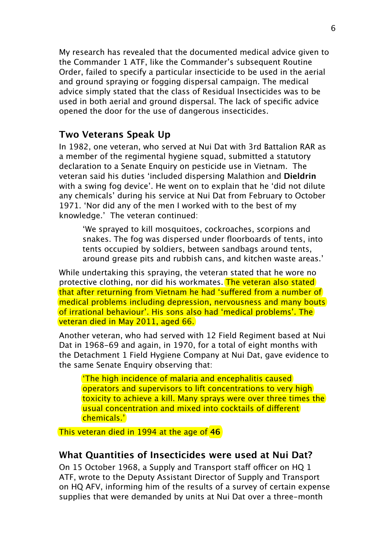My research has revealed that the documented medical advice given to the Commander 1 ATF, like the Commander's subsequent Routine Order, failed to specify a particular insecticide to be used in the aerial and ground spraying or fogging dispersal campaign. The medical advice simply stated that the class of Residual Insecticides was to be used in both aerial and ground dispersal. The lack of specific advice opened the door for the use of dangerous insecticides.

## **Two Veterans Speak Up**

In 1982, one veteran, who served at Nui Dat with 3rd Battalion RAR as a member of the regimental hygiene squad, submitted a statutory declaration to a Senate Enquiry on pesticide use in Vietnam. The veteran said his duties 'included dispersing Malathion and **Dieldrin**  with a swing fog device'. He went on to explain that he 'did not dilute any chemicals' during his service at Nui Dat from February to October 1971. 'Nor did any of the men I worked with to the best of my knowledge.' The veteran continued:

'We sprayed to kill mosquitoes, cockroaches, scorpions and snakes. The fog was dispersed under floorboards of tents, into tents occupied by soldiers, between sandbags around tents, around grease pits and rubbish cans, and kitchen waste areas.'

While undertaking this spraying, the veteran stated that he wore no protective clothing, nor did his workmates. The veteran also stated that after returning from Vietnam he had 'sufered from a number of medical problems including depression, nervousness and many bouts of irrational behaviour'. His sons also had 'medical problems'. The veteran died in May 2011, aged 66.

Another veteran, who had served with 12 Field Regiment based at Nui Dat in 1968-69 and again, in 1970, for a total of eight months with the Detachment 1 Field Hygiene Company at Nui Dat, gave evidence to the same Senate Enquiry observing that:

'The high incidence of malaria and encephalitis caused operators and supervisors to lift concentrations to very high toxicity to achieve a kill. Many sprays were over three times the usual concentration and mixed into cocktails of diferent chemicals.'

This veteran died in 1994 at the age of **46**

#### **What Quantities of Insecticides were used at Nui Dat?**

On 15 October 1968, a Supply and Transport staff officer on HO 1 ATF, wrote to the Deputy Assistant Director of Supply and Transport on HQ AFV, informing him of the results of a survey of certain expense supplies that were demanded by units at Nui Dat over a three-month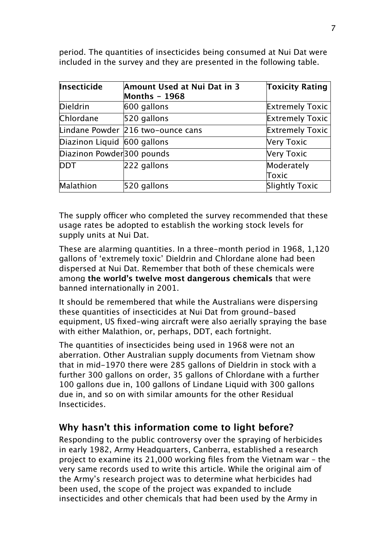| Insecticide                 | Amount Used at Nui Dat in 3       | <b>Toxicity Rating</b> |
|-----------------------------|-----------------------------------|------------------------|
|                             | <b>Months - 1968</b>              |                        |
| Dieldrin                    | $600$ gallons                     | <b>Extremely Toxic</b> |
| Chlordane                   | $520$ gallons                     | <b>Extremely Toxic</b> |
|                             | Lindane Powder 216 two-ounce cans | <b>Extremely Toxic</b> |
| Diazinon Liquid 600 gallons |                                   | Very Toxic             |
| Diazinon Powder 300 pounds  |                                   | Very Toxic             |
| <b>DDT</b>                  | $222$ gallons                     | Moderately             |
|                             |                                   | Toxic                  |
| Malathion                   | $520$ gallons                     | Slightly Toxic         |

period. The quantities of insecticides being consumed at Nui Dat were included in the survey and they are presented in the following table.

The supply officer who completed the survey recommended that these usage rates be adopted to establish the working stock levels for supply units at Nui Dat.

These are alarming quantities. In a three-month period in 1968, 1,120 gallons of 'extremely toxic' Dieldrin and Chlordane alone had been dispersed at Nui Dat. Remember that both of these chemicals were among **the world's twelve most dangerous chemicals** that were banned internationally in 2001.

It should be remembered that while the Australians were dispersing these quantities of insecticides at Nui Dat from ground-based equipment, US fixed-wing aircraft were also aerially spraying the base with either Malathion, or, perhaps, DDT, each fortnight.

The quantities of insecticides being used in 1968 were not an aberration. Other Australian supply documents from Vietnam show that in mid-1970 there were 285 gallons of Dieldrin in stock with a further 300 gallons on order, 35 gallons of Chlordane with a further 100 gallons due in, 100 gallons of Lindane Liquid with 300 gallons due in, and so on with similar amounts for the other Residual Insecticides.

## **Why hasn't this information come to light before?**

Responding to the public controversy over the spraying of herbicides in early 1982, Army Headquarters, Canberra, established a research project to examine its 21,000 working files from the Vietnam war – the very same records used to write this article. While the original aim of the Army's research project was to determine what herbicides had been used, the scope of the project was expanded to include insecticides and other chemicals that had been used by the Army in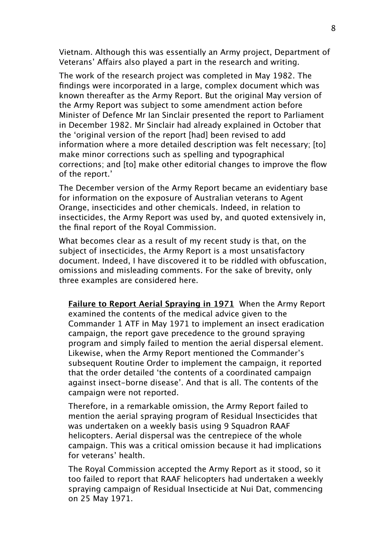Vietnam. Although this was essentially an Army project, Department of Veterans' Affairs also played a part in the research and writing.

The work of the research project was completed in May 1982. The findings were incorporated in a large, complex document which was known thereafter as the Army Report. But the original May version of the Army Report was subject to some amendment action before Minister of Defence Mr Ian Sinclair presented the report to Parliament in December 1982. Mr Sinclair had already explained in October that the 'original version of the report [had] been revised to add information where a more detailed description was felt necessary; [to] make minor corrections such as spelling and typographical corrections; and [to] make other editorial changes to improve the flow of the report.'

The December version of the Army Report became an evidentiary base for information on the exposure of Australian veterans to Agent Orange, insecticides and other chemicals. Indeed, in relation to insecticides, the Army Report was used by, and quoted extensively in, the final report of the Royal Commission.

What becomes clear as a result of my recent study is that, on the subject of insecticides, the Army Report is a most unsatisfactory document. Indeed, I have discovered it to be riddled with obfuscation, omissions and misleading comments. For the sake of brevity, only three examples are considered here.

**Failure to Report Aerial Spraying in 1971** When the Army Report examined the contents of the medical advice given to the Commander 1 ATF in May 1971 to implement an insect eradication campaign, the report gave precedence to the ground spraying program and simply failed to mention the aerial dispersal element. Likewise, when the Army Report mentioned the Commander's subsequent Routine Order to implement the campaign, it reported that the order detailed 'the contents of a coordinated campaign against insect-borne disease'. And that is all. The contents of the campaign were not reported.

Therefore, in a remarkable omission, the Army Report failed to mention the aerial spraying program of Residual Insecticides that was undertaken on a weekly basis using 9 Squadron RAAF helicopters. Aerial dispersal was the centrepiece of the whole campaign. This was a critical omission because it had implications for veterans' health.

The Royal Commission accepted the Army Report as it stood, so it too failed to report that RAAF helicopters had undertaken a weekly spraying campaign of Residual Insecticide at Nui Dat, commencing on 25 May 1971.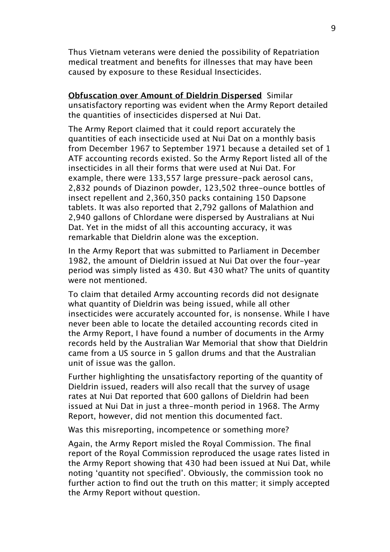Thus Vietnam veterans were denied the possibility of Repatriation medical treatment and benefits for illnesses that may have been caused by exposure to these Residual Insecticides.

**Obfuscation over Amount of Dieldrin Dispersed** Similar unsatisfactory reporting was evident when the Army Report detailed the quantities of insecticides dispersed at Nui Dat.

The Army Report claimed that it could report accurately the quantities of each insecticide used at Nui Dat on a monthly basis from December 1967 to September 1971 because a detailed set of 1 ATF accounting records existed. So the Army Report listed all of the insecticides in all their forms that were used at Nui Dat. For example, there were 133,557 large pressure-pack aerosol cans, 2,832 pounds of Diazinon powder, 123,502 three-ounce bottles of insect repellent and 2,360,350 packs containing 150 Dapsone tablets. It was also reported that 2,792 gallons of Malathion and 2,940 gallons of Chlordane were dispersed by Australians at Nui Dat. Yet in the midst of all this accounting accuracy, it was remarkable that Dieldrin alone was the exception.

In the Army Report that was submitted to Parliament in December 1982, the amount of Dieldrin issued at Nui Dat over the four-year period was simply listed as 430. But 430 what? The units of quantity were not mentioned.

To claim that detailed Army accounting records did not designate what quantity of Dieldrin was being issued, while all other insecticides were accurately accounted for, is nonsense. While I have never been able to locate the detailed accounting records cited in the Army Report, I have found a number of documents in the Army records held by the Australian War Memorial that show that Dieldrin came from a US source in 5 gallon drums and that the Australian unit of issue was the gallon.

Further highlighting the unsatisfactory reporting of the quantity of Dieldrin issued, readers will also recall that the survey of usage rates at Nui Dat reported that 600 gallons of Dieldrin had been issued at Nui Dat in just a three-month period in 1968. The Army Report, however, did not mention this documented fact.

Was this misreporting, incompetence or something more?

Again, the Army Report misled the Royal Commission. The final report of the Royal Commission reproduced the usage rates listed in the Army Report showing that 430 had been issued at Nui Dat, while noting 'quantity not specified'. Obviously, the commission took no further action to find out the truth on this matter; it simply accepted the Army Report without question.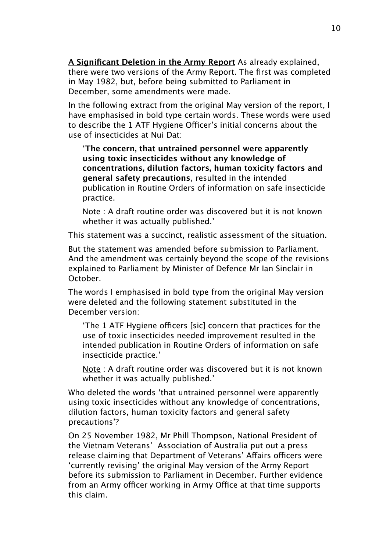**A Significant Deletion in the Army Report** As already explained, there were two versions of the Army Report. The first was completed in May 1982, but, before being submitted to Parliament in December, some amendments were made.

In the following extract from the original May version of the report, I have emphasised in bold type certain words. These words were used to describe the 1 ATF Hygiene Officer's initial concerns about the use of insecticides at Nui Dat:

'**The concern, that untrained personnel were apparently using toxic insecticides without any knowledge of concentrations, dilution factors, human toxicity factors and general safety precautions**, resulted in the intended publication in Routine Orders of information on safe insecticide practice.

Note : A draft routine order was discovered but it is not known whether it was actually published.'

This statement was a succinct, realistic assessment of the situation.

But the statement was amended before submission to Parliament. And the amendment was certainly beyond the scope of the revisions explained to Parliament by Minister of Defence Mr Ian Sinclair in October.

The words I emphasised in bold type from the original May version were deleted and the following statement substituted in the December version:

'The 1 ATF Hygiene officers [sic] concern that practices for the use of toxic insecticides needed improvement resulted in the intended publication in Routine Orders of information on safe insecticide practice.'

Note : A draft routine order was discovered but it is not known whether it was actually published.'

Who deleted the words 'that untrained personnel were apparently using toxic insecticides without any knowledge of concentrations, dilution factors, human toxicity factors and general safety precautions'?

On 25 November 1982, Mr Phill Thompson, National President of the Vietnam Veterans' Association of Australia put out a press release claiming that Department of Veterans' Affairs officers were 'currently revising' the original May version of the Army Report before its submission to Parliament in December. Further evidence from an Army officer working in Army Office at that time supports this claim.